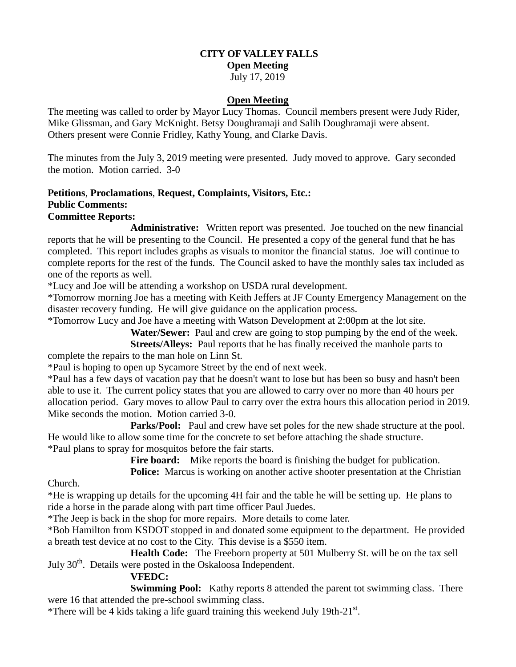# **CITY OF VALLEY FALLS**

#### **Open Meeting**

July 17, 2019

#### **Open Meeting**

The meeting was called to order by Mayor Lucy Thomas. Council members present were Judy Rider, Mike Glissman, and Gary McKnight. Betsy Doughramaji and Salih Doughramaji were absent. Others present were Connie Fridley, Kathy Young, and Clarke Davis.

The minutes from the July 3, 2019 meeting were presented. Judy moved to approve. Gary seconded the motion. Motion carried. 3-0

# **Petitions**, **Proclamations**, **Request, Complaints, Visitors, Etc.: Public Comments:**

#### **Committee Reports:**

**Administrative:** Written report was presented. Joe touched on the new financial reports that he will be presenting to the Council. He presented a copy of the general fund that he has completed. This report includes graphs as visuals to monitor the financial status. Joe will continue to complete reports for the rest of the funds. The Council asked to have the monthly sales tax included as one of the reports as well.

\*Lucy and Joe will be attending a workshop on USDA rural development.

\*Tomorrow morning Joe has a meeting with Keith Jeffers at JF County Emergency Management on the disaster recovery funding. He will give guidance on the application process.

\*Tomorrow Lucy and Joe have a meeting with Watson Development at 2:00pm at the lot site.

**Water/Sewer:** Paul and crew are going to stop pumping by the end of the week.

**Streets/Alleys:** Paul reports that he has finally received the manhole parts to complete the repairs to the man hole on Linn St.

\*Paul is hoping to open up Sycamore Street by the end of next week.

\*Paul has a few days of vacation pay that he doesn't want to lose but has been so busy and hasn't been able to use it. The current policy states that you are allowed to carry over no more than 40 hours per allocation period. Gary moves to allow Paul to carry over the extra hours this allocation period in 2019. Mike seconds the motion. Motion carried 3-0.

Parks/Pool: Paul and crew have set poles for the new shade structure at the pool. He would like to allow some time for the concrete to set before attaching the shade structure. \*Paul plans to spray for mosquitos before the fair starts.

Fire board: Mike reports the board is finishing the budget for publication.

**Police:** Marcus is working on another active shooter presentation at the Christian

Church.

\*He is wrapping up details for the upcoming 4H fair and the table he will be setting up. He plans to ride a horse in the parade along with part time officer Paul Juedes.

\*The Jeep is back in the shop for more repairs. More details to come later.

\*Bob Hamilton from KSDOT stopped in and donated some equipment to the department. He provided a breath test device at no cost to the City. This devise is a \$550 item.

**Health Code:** The Freeborn property at 501 Mulberry St. will be on the tax sell July 30<sup>th</sup>. Details were posted in the Oskaloosa Independent.

#### **VFEDC:**

**Swimming Pool:** Kathy reports 8 attended the parent tot swimming class. There were 16 that attended the pre-school swimming class.

\*There will be 4 kids taking a life guard training this weekend July 19th-21 $\mathrm{^{st}}$ .